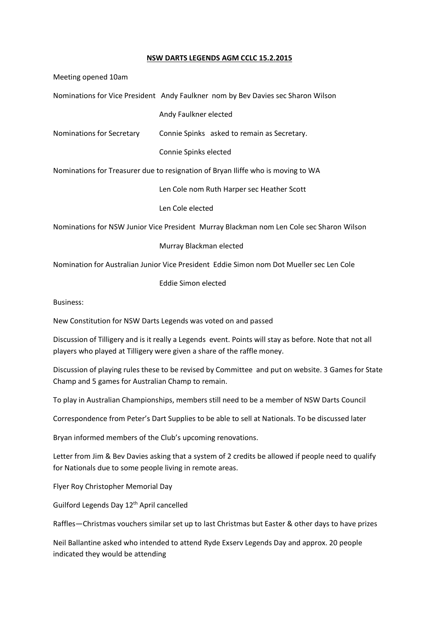## **NSW DARTS LEGENDS AGM CCLC 15.2.2015**

Meeting opened 10am Nominations for Vice President Andy Faulkner nom by Bev Davies sec Sharon Wilson Andy Faulkner elected Nominations for Secretary Connie Spinks asked to remain as Secretary. Connie Spinks elected Nominations for Treasurer due to resignation of Bryan Iliffe who is moving to WA Len Cole nom Ruth Harper sec Heather Scott Len Cole elected Nominations for NSW Junior Vice President Murray Blackman nom Len Cole sec Sharon Wilson Murray Blackman elected

Nomination for Australian Junior Vice President Eddie Simon nom Dot Mueller sec Len Cole

Eddie Simon elected

Business:

New Constitution for NSW Darts Legends was voted on and passed

Discussion of Tilligery and is it really a Legends event. Points will stay as before. Note that not all players who played at Tilligery were given a share of the raffle money.

Discussion of playing rules these to be revised by Committee and put on website. 3 Games for State Champ and 5 games for Australian Champ to remain.

To play in Australian Championships, members still need to be a member of NSW Darts Council

Correspondence from Peter's Dart Supplies to be able to sell at Nationals. To be discussed later

Bryan informed members of the Club's upcoming renovations.

Letter from Jim & Bev Davies asking that a system of 2 credits be allowed if people need to qualify for Nationals due to some people living in remote areas.

Flyer Roy Christopher Memorial Day

Guilford Legends Day 12th April cancelled

Raffles—Christmas vouchers similar set up to last Christmas but Easter & other days to have prizes

Neil Ballantine asked who intended to attend Ryde Exserv Legends Day and approx. 20 people indicated they would be attending